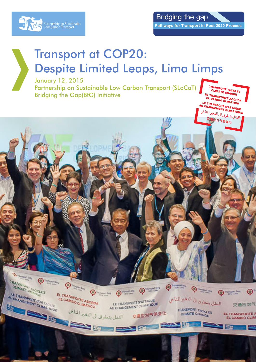

Bridging the gap **Pathways for Transport in Post 2020 Process** 

> TRANSPORT TACKLES **"HANSPORT TACKLI<br>CLIMATE CHANGE<br>TRANSPA EL TRANSPORTE CHANGE<br>EL CAMBIO CLIMÁTICO<br>EL CAMBIO CLIMÁTICO<br>LE TRANSPORT QUE L'ANGELE DE CALIMÁTICO**

MANGEMENT CLIMATIQUE<br>النقل يتطرق الى التغير المناخي<br>النقل يتطرق الى التغير<br>- 交通应对气候 <sub>یتطر</sub>ی تی<br>交通应对气候变化

 $\begin{picture}(180,10) \put(0,0){\line(1,0){10}} \put(10,0){\line(1,0){10}} \put(10,0){\line(1,0){10}} \put(10,0){\line(1,0){10}} \put(10,0){\line(1,0){10}} \put(10,0){\line(1,0){10}} \put(10,0){\line(1,0){10}} \put(10,0){\line(1,0){10}} \put(10,0){\line(1,0){10}} \put(10,0){\line(1,0){10}} \put(10,0){\line(1,0){10}} \put(10,0){\line($ 

交通应对气

EL TRANSPORTE

ب<br>النقل يتطرق الى التغير للناخي

TRANSPORT TACKLES

**CLIMATE CHANGE** 

**FRIDAY DE** 

**Reservation des** 

**MANSPOINT MANUES** 

AU CHANGEMENT CUMATIONE

TRANSPORT

 $\begin{picture}(20,10) \put(0,0){\line(1,0){10}} \put(15,0){\line(1,0){10}} \put(15,0){\line(1,0){10}} \put(15,0){\line(1,0){10}} \put(15,0){\line(1,0){10}} \put(15,0){\line(1,0){10}} \put(15,0){\line(1,0){10}} \put(15,0){\line(1,0){10}} \put(15,0){\line(1,0){10}} \put(15,0){\line(1,0){10}} \put(15,0){\line(1,0){10}} \put(15,0){\line(1$ 

EL TRANSPORTE ABORDA

EL CAMBIORTE ABORD

EXAMINATION CUMENTON AUCHANGLINENT CLIP

# Transport at COP20: Despite Limited Leaps, Lima Limps

January 12, 2015

Partnership on Sustainable Low Carbon Transport (SLoCaT) Bridging the Gap(BtG) InitiativeEL CAMBIO CLIMATICO<br>LE TRANSPORT S'ATTAQUE<br>AU CHANGEMENT CLIMATIQUE<br>التفير المنابي<br>الممال التفير المنابي

 $\begin{picture}(180,10) \put(0,0){\line(1,0){10}} \put(10,0){\line(1,0){10}} \put(10,0){\line(1,0){10}} \put(10,0){\line(1,0){10}} \put(10,0){\line(1,0){10}} \put(10,0){\line(1,0){10}} \put(10,0){\line(1,0){10}} \put(10,0){\line(1,0){10}} \put(10,0){\line(1,0){10}} \put(10,0){\line(1,0){10}} \put(10,0){\line(1,0){10}} \put(10,0){\line($ 

LE TRANSPORT S'ATTAQUE LE TRANSPORT S'ATTACCI

交通应对气候变化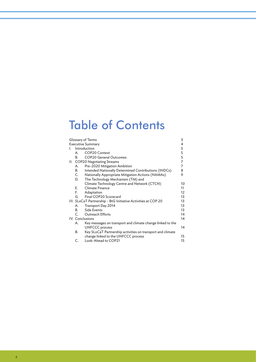# Table of Contents

| Glossary of Terms                  |                                                               |                                                            |                     |  |  |
|------------------------------------|---------------------------------------------------------------|------------------------------------------------------------|---------------------|--|--|
| <b>Executive Summary</b><br>4<br>5 |                                                               |                                                            |                     |  |  |
| L.                                 | Introduction                                                  |                                                            |                     |  |  |
|                                    | А.                                                            | COP20 Context                                              | 5                   |  |  |
|                                    | В.                                                            | <b>COP20 General Outcomes</b>                              | 5<br>$\overline{7}$ |  |  |
|                                    | II. COP20 Negotiating Streams                                 |                                                            |                     |  |  |
|                                    | А.                                                            | Pre-2020 Mitigation Ambition                               | 7                   |  |  |
|                                    | B.                                                            | Intended Nationally Determined Contributions (INDCs)       | 8                   |  |  |
|                                    | C.                                                            | Nationally Appropriate Mitigation Actions (NAMAs)          | 9                   |  |  |
|                                    | D.                                                            | The Technology Mechanism (TM) and                          |                     |  |  |
|                                    |                                                               | Climate Technology Centre and Network (CTCN)               | 10                  |  |  |
|                                    | E.                                                            | Climate Finance                                            | 11                  |  |  |
|                                    | F.                                                            | Adaptation                                                 | $12 \overline{ }$   |  |  |
|                                    | G.                                                            | Final COP20 Scorecard                                      | 13                  |  |  |
|                                    | III. SLoCaT Partnership - BtG Initiative Activities at COP 20 |                                                            |                     |  |  |
|                                    | А.                                                            | Transport Day 2014                                         | 13                  |  |  |
|                                    | B.                                                            | Side Events                                                | 13                  |  |  |
|                                    | C.                                                            | <b>Outreach Efforts</b>                                    | 14                  |  |  |
|                                    | IV. Conclusions                                               |                                                            |                     |  |  |
|                                    | А.                                                            | Key messages on transport and climate change linked to the |                     |  |  |
|                                    |                                                               | <b>UNFCCC</b> process                                      | 14                  |  |  |
|                                    | В.                                                            | Key SLoCaT Partnership activities on transport and climate |                     |  |  |
|                                    |                                                               | change linked to the UNFCCC process                        | 15                  |  |  |
|                                    | C.                                                            | Look-Ahead to COP21                                        | 15                  |  |  |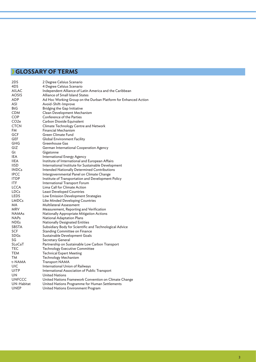# **GLOSSARY OF TERMS**

| 2DS           | 2 Degree Celsius Scenario                                       |
|---------------|-----------------------------------------------------------------|
| 4DS           | 4 Degree Celsius Scenario                                       |
| <b>AILAC</b>  | Independent Alliance of Latin America and the Caribbean         |
| AOSIS         | Alliance of Small Island States                                 |
| ADP           | Ad Hoc Working Group on the Durban Platform for Enhanced Action |
| ASI           | Avoid-Shift-Improve                                             |
| BtG           | Bridging the Gap Initiative                                     |
| CDM           | Clean Development Mechanism                                     |
| COP           | Conference of the Parties                                       |
| CO2e          | Carbon Dioxide Equivalent                                       |
| CTCN          | Climate Technology Centre and Network                           |
| FM            | Financial Mechanism                                             |
| GCF           | Green Climate Fund                                              |
| GEF           | Global Environment Facility                                     |
| GHG           | Greenhouse Gas                                                  |
| GIZ           | German International Cooperation Agency                         |
| Gt            | Gigatonne                                                       |
| IEA           | International Energy Agency                                     |
| IIEA          | Institute of International and European Affairs                 |
| <b>IISD</b>   | International Institute for Sustainable Development             |
| <b>INDCs</b>  | Intended Nationally Determined Contributions                    |
| <b>IPCC</b>   | Intergovernmental Panel on Climate Change                       |
| <b>ITDP</b>   | Institute of Transportation and Development Policy              |
| ITF           | International Transport Forum                                   |
| LCCA          | Lima Call for Climate Action                                    |
| LDCs          | <b>Least Developed Countries</b>                                |
| LEDS          | Low Emission Development Strategies                             |
| LMDCs         | Like Minded Developing Countries                                |
| MA            | <b>Multilateral Assessment</b>                                  |
| MRV           | Measurement, Reporting and Verification                         |
| NAMAs         | Nationally Appropriate Mitigation Actions                       |
| <b>NAPs</b>   | <b>National Adaptation Plans</b>                                |
| <b>NDEs</b>   | <b>Nationally Designated Entities</b>                           |
| SBSTA         | Subsidiary Body for Scientific and Technological Advice         |
| SCF           | Standing Committee on Finance                                   |
| SDGs          | Sustainable Development Goals                                   |
| SG            | Secretary General                                               |
| SLoCaT        | Partnership on Sustainable Low Carbon Transport                 |
| TEC           | <b>Technology Executive Committee</b>                           |
| TEM           | Technical Expert Meeting                                        |
| ТM            | Technology Mechanism                                            |
| t-NAMA        | <b>Transport NAMA</b>                                           |
| UIC           | International Union of Railways                                 |
| UITP          | International Association of Public Transport                   |
| UN            | <b>United Nations</b>                                           |
| <b>UNFCCC</b> | United Nations Framework Convention on Climate Change           |
| UN-Habitat    | United Nations Programme for Human Settlements                  |
| UNEP          | United Nations Environment Program                              |
|               |                                                                 |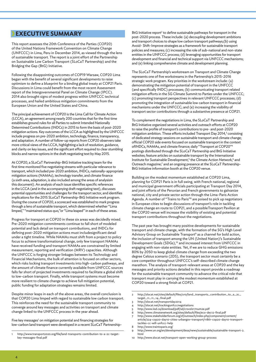## **EXECUTIVE SUMMARY**

This report assesses the 20th Conference of the Parties (COP20) of the United Nations Framework Convention on Climate Change (UNFCCC) in Lima, Peru in December 2014, as viewed through the lens of sustainable transport. The report is a joint effort of the Partnership on Sustainable Low Carbon Transport (SLoCaT Partnership) and the Bridging the Gap (BtG) Initiative.

Following the disappointing outcomes of COP19 Warsaw, COP20 Lima began with the benefit of several significant developments to raise optimism to define a blueprint for a binding global treaty at COP21 Paris. Discussions in Lima could benefit from the most recent Assessment report of the Intergovernmental Panel on Climate Change (IPCC). 2014 also brought signs of modest progress within UNFCCC technical processes, and hailed ambitious mitigation commitments from the European Union and the United States and China.

The principal achievement of COP20 is the Lima Call for Climate Action (LCCA), an agreement among nearly 200 countries that for the first time establishes ground rules for all Parties to submit Intended Nationally Determined Contributions (INDCs) in 2015 to form the basis of post-2020 mitigation actions. Key outcomes of the LCCA as highlighted by the UNFCCC include progress on pre-2020 ambition, technology, finance, transparency, and adaptation. A number of follow-up reports from COP20 observers take more critical views of the LCCA, highlighting a lack of resolution, guidance, and clarity on key issues, and the significant effort required to clear stumbling blocks and narrow options in the draft negotiating text by May 2015.

At COP20, a SLoCaT Partnership-BtG Initiative tracking team for the first time monitored five negotiating streams with particular relevance to transport, which included pre-2020 ambition, INDCs, nationally-appropriate mitigation actions (NAMAs), technology transfer, and climate finance (a sixth area, adaptation, is also included among the areas of analysisin this document). An analysis of each issue identifies specific references in the LCCA (and in the accompanying draft negotiating text), discusses potential opportunities and challenges for the transport sector, and identifies implications for the 2015 SLoCaT Partnership-BtG Initiative work program. During the course of COP20, a scorecard was established to mark progress through a lens of sustainable transport, which determined whether "Lima limped," "maintained status quo,"or "Lima leaped" in each of these areas.

Progress for transport at COP20 in these six areas was decidedly mixed. Pre-2020 mitigation commitments continue to fall short of modeled potential and lack detail on transport contributions, and INDCs for defining post-2020 mitigation actions must includesignificant detail under a tight timeline. While NAMAs must shift from a project to policy focus to achieve transformational change, only few transport NAMAs have received funding and transport NAMAs are constrained by limited measurement, reporting and verification (MRV) capacities. Although the UNFCCC is forging stronger linkages between its Technology and Financial Mechanisms, the bulk of attention is focused on other sectors, which risks locking transport investments into high-carbon pathways, and the amount of climate finance currently available from UNFCCC sources falls far short of projected investments required to facilitate a global shift to low-carbon transport. Finally, while transport systems must become more resilient to climate change to achieve full mitigation potential, public funding for adaptation strategies remains limited.

Despite minor leaps in each of the above areas, the overall conclusion is that COP20 Lima limped with regard to sustainable low carbon transport. This reinforces the need for the sustainable transport community to converge around key messages and activities on transport and climate change linked to the UNFCCC process in the year ahead.

Five key messages<sup>1</sup> on mitigation potential and financing strategies for low-carbon land transport were developed in a recent SLoCaT Partnership-

BtG Initiative report<sup>2</sup> to define sustainable pathways for transport in the post-2020 process. These include: (a) decoupling development ambitions and transport choices to shape low carbon transport pathways;(b) using Avoid- Shift-Improve strategies as a framework for sustainable transport policies and measures; (c) increasing the role of sub-national and non-state entities in the UNFCCC process; (d) leveraging opportunities for transport development and financial and technical support via UNFCCC mechanisms; and (e) linking comprehensive climate and development planning.

The SLoCaT Partnership's workstream on Transport and Climate Change represents one of five workstreams in the Partnership's 2015-2016 strategic work program. Key priorities in the workstream include: (a) demonstrating the mitigation potential of transport in the UNFCCC (and specifically INDC) processes; (b) communicating transport related mitigation efforts in the SG Climate Summit to Parties under the UNFCCC; (c) promoting transport perspectives in relevant UNFCCC processes; (d) promoting the integration of sustainable low carbon transport in financial mechanisms under the UNFCCC; and (e) increasing the visibility of transport sector contributions through a substantive presence at COP21.

To complement the negotiations in Lima, the SLoCaT Partnership and BtG Initiative organized several activities and outreach efforts at COP20 to raise the profile of transport's contributions to pre- and post-2020 mitigation ambition. These efforts included Transport Day 2014,<sup>3</sup> consisting of dedicated strategy sessions on sustainable transport and climate change; official COP20 side events focused on sustainable transport in the context ofINDCs, NAMAs, and climate finance; daily "Transport at COP20"4 postings distributed through the SLoCaT Partnership and BtG Initiative websites; feature articles on sustainable transport by the International Institute for Sustainable Development,<sup>5</sup> the Climate Action Network,<sup>6</sup> and Outreach magazine;<sup>7</sup> and an ongoing presence at the SLoCaT Partnership-BtG Initiative information booth at the COP20 venue.

Building on the modest momentum established at COP20 Lima, planning for COP21 Paris is in full swing, with French national, regional and municipal government officials participating at Transport Day 2014, and joint efforts of the Peruvian and French governments to galvanize national, city and private sector action through the Lima-Paris Action Agenda. A number of "Trains to Paris"8 are poised to pick up negotiators in European cities to begin discussions of transport's role in tackling climate change en route to COP21, and a possibleTransport Pavilion at the COP20 venue will increase the visibility of existing and potential transport contributions throughout the negotiations.

The past year has brought many positive developments for sustainable transport and climate change, with the formation of the SG's High Level Advisory Group on Sustainable Transport<sup>9</sup> as a channel for bold action, the inclusion of transport among the UN (United Nation)'s Sustainable Development Goals (SDGs),<sup>10</sup> and increased interest from UNFCCC in engaging with non-state entities. Yet, if we are to reduce GHG emissions 80% by 2050 to keep global climate change from exceeding the two degree Celsius scenario (2DS), the transport sector must certainly be a core competitor throughout UNFCCC's self-described climate change marathon. The analysis of transport-relevant areas at COP20 and the key messages and priority actions detailed in this report provide a roadmap for the sustainable transport community to advance the critical role that transport must play in carrying the modest momentum established at COP20 toward a strong finish at COP21.

- 3 http://slocat.net/transportday2014
- 4 http://slocat.net/trackingunfcccnegotiations
- 5 http://www.iisd.ca/download/pdf/sd/crsvol217num2e.pdf
- 6 http://www.climatenetwork.org/sites/default/files/eco-dec12-final.pdf
- 7 http://www.stakeholderforum.org/sf/outreach/index.php/component/content/ article/224-cop20-day10-cities-urbangov-transport/11861-cop20-day10-transporttackles-cc-will-unfccc-help
- 8 http://www.traintoparis.org/
- 9 http://www.un.org/en/development/desa/news/sustainable/sustainable-transport-2. html
- http://www.slocat.net/transport-open-working-group-process

<sup>1</sup> http://www.transport2020.org/file/land-transports-contribution-to-a-2c-targetkey-messages-final.pdf

<sup>2</sup> http://slocat.net/sites/default/files/u10/land\_transports\_contribution\_to\_a\_2c\_ target\_11\_11\_14\_final.pdf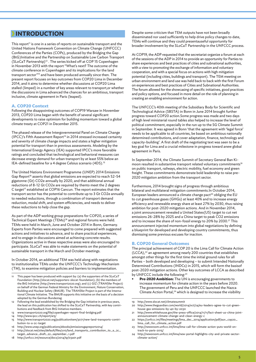## **INTRODUCTION**

This report<sup>11</sup> is one in a series of reports on sustainable transport and the United Nations Framework Convention on Climate Change (UNFCCC) Conferences of the Parties (COPs), produced by the Bridging the Gap (BtG)Initiative and the Partnership on Sustainable Low Carbon Transport (SLoCaT Partnership)12 . The series kicked off at COP 15 Copenhagen in November 2013 with the report "What's next? The outcome of the climate conference in Copenhagen and its implications for the land transport sector"<sup>13</sup> and have been produced annually since then. The present report focuses on key outcomes from COP20 Lima in December 2014, and it aims to determine whether discussions at COP20 Lima stalled (limped) in a number of key areas relevant to transport,or whether the discussions in Lima advanced the chances for an ambitious, transport inclusive, climate agreement in Paris (leaped).

#### **A. COP20 Context**

Following the disappointing outcomes of COP19 Warsaw in November 2013, COP20 Lima began with the benefit of several significant developments to raise optimism for building momentum toward a global climate treaty at COP21 in December 2015.

The phased release of the Intergovernmental Panel on Climate Change (IPCC)'s Fifth Assessment Report<sup>14</sup> in 2014 stressed increased certainty and severity of climate change impacts and states a higher mitigation potential for transport than in previous assessments. Modeling by the International Energy Agency (IEA) supported IPCC's more favorable ratings and concluded that technological and behavioral measures can decrease energy demand for urban transport by at least 55% below an IEA-defined baseline for a 4 degree Celsius scenario (4DS).<sup>15</sup>

The United Nations Environment Programme (UNEP) 2014 Emissions Gap Report<sup>16</sup> asserts that global emissions are expected to reach 52-54 gigatonne (Gt) CO2e annually by 2020, and that additional annual reductions of 8-12 Gt CO2e are required by thento meet the 2 degrees C target<sup>17</sup> established at COP16 Cancun. The report estimates that the transport sector has the potential to contribute up to 3 Gt CO2e annually to needed reductions, through a combination of transport demand reduction, modal shift, and system efficiencies, and needs to deliver these reductions to help close the gap.

As part of the ADP working group preparations for COP20, a series of Technical Expert Meetings (TEMs)18 and regional forums were held. TEMs were held in March, June and October 2014 in Bonn, Germany. Experts from Parties were encouraged to come prepared with suggested actions and initiatives to advance, and to share practical experiences, and to engage in discussions aimed at achieving concrete results. Organizations active in these respective areas were also encouraged to participate. SLoCaT was able to make statements on the potential of sustainable transport in the March and October meetings.

In October 2014, an additional TEM was held along with negotiations to institutionalize TEMs under the UNFCCC's Technology Mechanism (TM), to examine mitigation policies and barriers to implementation.

- This paper has been produced with support by: (a) the supporters of the SLoCaT Foundation (http://slocat.net/supporters-slocat-foundation); (b) the members of the BtG Initiative (http://www.transport2020.org); and (c) GIZ (TRANSfer Project) on behalf of the German Federal Ministry for the Environment, Nature Conservation, Building and Nuclear Safety (BMUB). The TRANSfer Project is part of the International Climate Initiative. The BMUB supports this initiative on the basis of a decision adopted by the German Bundestag.
- 12 Following the lead established by the Bridging the Gap initiative in previous years, the lead on this publication has shifted to the SLoCaT Partnership, with key contributions and feedback from BtG Initiative members.
- 13 www.transport2020.org/file/copenhagen-report-final-bridging.pdf
- 14 http://www.ipcc.ch/report/ar5/ 15 http://www.transport2020.org/publicationitem/3071/new-land-transports-contri-
- bution-to-a-2c-target
- 16 http://www.unep.org/publications/ebooks/emissionsgapreport2014/
- 17 http://slocat.net/sites/default/files/u10/land\_transports\_contribution\_to\_a\_2c\_ target\_advance\_draft\_22\_september\_1.pdf
- 18 http://unfccc.int/resource/docs/2014/tp/03a01.pdf

Despite some criticism that TEM outputs have not been broadly disseminated nor used sufficiently to help drive policy changes to date, TEMs will continue and they could presentauseful opportunity for broader involvement by the SLoCaT Partnership in the UNFCCC process.

At COP19, the ADP requested that the secretariat organize a forum at each of the sessions of the ADP in 2014 to provide an opportunity for Parties to share experiences and best practices of cities and subnational authorities, with a view to promoting the exchange of information and voluntary cooperation, and with a special focus on actions with high mitigation potential (including cities, buildings and transport). The TEM meeting on urban environment and land use was held back to back with the first Forum on experiences and best practices of Cities and Subnational Authorities. The forum allowed for the showcasing of specific initiatives, good practices and policy options, and focused in more detail on the role of planning in creating an enabling environment for action.

The UNFCCC's 40th meeting of the Subsidiary Body for Scientific and Technological Advice (SBSTA) in Bonn in June 2014 brought further progress toward COP20 action.Some progress was made and two days of high level ministerial round tables also helped to increase the level of political commitment, especially in the run up to the SG Climate Summit in September. It was agreed in Bonn 'that the agreement with 'legal force' needs to be applicable to all countries, be based on ambitious nationally determined contributions, and cover adaptation, finance, technology and capacity-building'. A first draft of the negotiating text was seen to be a key goal for Lima and a crucial milestone in progress toward anew global agreement in Paris.

In September 2014, the Climate Summit of Secretary General Ban Kimoon resulted in substantive transport related voluntary commitments<sup>19</sup> on public transport, railways, electric mobility, fuel economy and green freight. These commitments demonstrate bold leadership to raise pre-2020 mitigation ambition from the transport sector.

Furthermore, 2014 brought signs of progress through ambitious bilateral and multilateral mitigation commitments.In October 2014, European leaders announced a climate change pact<sup>20</sup> obliging the EU to cut greenhouse gases (GHGs) at least 40% and to increase energy efficiency and renewable energy share at least 27% by 2030, thus raising ambition for post-2020 mitigation actions. And in November 2014, a joint announcement revealed a United States(US) target to cut net emissions 26-28% by 2025 and a China target to peak CO2 emissions and to increase the share of non-fossil energy to 20% by 2030.<sup>21</sup> This announcement injected momentum into global negotiations by defining a blueprint for developed and developing country commitments, thus dismissing some previous excuses for inaction.

#### **B. COP20 General Outcomes**

The principal achievement of COP 20 is the Lima Call for Climate Action (LCCA),<sup>22</sup> an agreement among nearly 200 countries that establishes amongst other things for the first time the initial ground rules for all Parties – both developed and developing – to submit Intended Nationally Determined Contributions (INDCs) in 2015, which will form the basisof post-2020 mitigation actions. Other key outcomes of LCCA as described by UNFCCC include the following:<sup>23</sup>

**Pre-2020 Ambition:** The UN is encouraging governments to increase momentum for climate action in the years before 2020. The government of Peru and the UNFCCC launched the Nazca Climate Action Portal,<sup>24</sup> which is designed to increase the visibility

- 20 http://www.theguardian.com/world/2014/oct/24/eu-leaders-agree-to-cut-greenhouse-gas-emissions-by-40-by-2030
- 21 http://www.whitehouse.gov/the-press-office/2014/11/11/fact-sheet-us-china-jointannouncement-climate-change-and-clean-energy-c
- 22 https://unfccc.int/files/meetings/lima\_dec\_2014/application/pdf/auv\_cop20\_ lima\_call\_for\_climate\_action.pdf
- 23 http://newsroom.unfccc.int/lima/lima-call-for-climate-action-puts-world-ontrack-to-paris-2015/
- 24 http://newsroom.unfccc.int/lima/new-portal-highlights-city-and-private-sectorclimate-action/

<sup>19</sup> http://www.slocat.net/climatesummit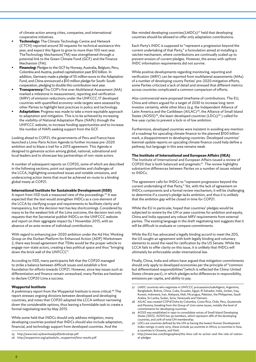of climate action among cities, companies, and international cooperative initiatives.

- **Technology:** The Climate Technology Centre and Network (CTCN) reported around 30 requests for technical assistance this year, and expect this figure to grow to more than 100 next year. TheTechnology Mechanism(TM) was strengthened through a potential link to the Green Climate Fund (GCF) and the Finance Mechanism (FM).
- **Financing:** Pledges to the GCF by Norway, Australia, Belgium, Peru, Colombia and Austria, pushed capitalization past \$10 billion. In addition, Germany made a pledge of 55 million euros to the Adaptation Fund, and China announced a \$10 million pledge for South-South cooperation, pledging to double this contribution next year.
- **Transparency:**The COP's first ever Multilateral Assessment (MA) marked a milestone in measurement, reporting and verification (MRV) of emission reductions under the UNFCCC.17 developed countries with quantified economy-wide targets were assessed by other Parties to highlight best practices in policy and technology.
- **Adaptation:** Progress was made to take a more equitable approach to adaptation and mitigation. This is to be achieved by increasing the visibility of National Adaptation Plans (NAPs) through the UNFCCC website, to increase funding opportunities and to increase the number of NAPs seeking support from the GCF.

Looking ahead to COP21, the governments of Peru and France have launched a Lima-Paris Action Agenda to further increase pre-2020 ambition and to blaze a trail for a 2015 agreement. This Agenda is designed to galvanize action among global, national, subnational and local leaders and to showcase key partnerships of non-state actors.

A number of subsequent reports on COP20, some of which are described in the following sections, point out opportunities and challenges of the LCCA, highlighting unresolved issues and notable omissions, and underscoring action items that must be achieved en route to a binding global treaty at COP21.

#### **International Institute for Sustainable Development (IISD)**

A report from IISD took a measured view of the proceedings.25 It was expected that the text would strengthen INDCs as a core element of the LCCA by clarifying scope and requirements to facilitate clarity and transparency, but the decision text has key shortcomings .Considered by many to be the weakest link of the Lima outcome, the decision text only requests that the Secretariat publish INDCs on the UNFCCC website and report on their aggregate impact by 1 November 2015, with an absence of ex ante review of individual contributions.

With regard to enhancing pre-2020 ambition under the Ad Hoc Working Group on the Durban Platform for Enhanced Action (ADP) Workstream 2, there was broad agreement that TEMs would be the proper vehicle to engage non-state actors, creating a less political space and thus "bringing down the brick wall of the UNFCCC".

According to IISD, many participants felt that the COP20 managed to strike a balance between difficult issues and establish a firm foundation for efforts towards COP21. However, since key issues such as differentiation and finance remain unresolved, many Parties are hesitant to declare COP20 Lima a success.

#### **Wuppertal Institute**

A preliminary report from the Wuppertal Institute is more critical.<sup>26</sup> The report stresses ongoing divisions between developed and developing countries, and notes that COP20 adopted the LCCA without narrowing down the considerable options, thus leaving a formidable task to create a formal negotiating text by May 2015.

While some held that INDCs should only address mitigation, many developing countries posited that INDCs should also include adaptation, financial, and technology support from developed countries. And the

like-minded developing countries(LMDCs)<sup>27</sup> held that developing countries should be allowed to offer only adaptation contributions.

Each Party's INDC is supposed to "represent a progression beyond the current undertaking of that Party," a formulation aimed at installing a ratchet mechanism, where contributions are continually scaled up to prevent erosion of current pledges. However, the annex with upfront INDC information requirements did not survive.

While positive developments regarding monitoring, reporting and verification (MRV) can be reported from multilateral assessments (MAs) of a number of developing county Parties' pre-2020 mitigation efforts, some Parties criticized a lack of detail and stressed that different metrics across countries complicated a common comparison of efforts.

Also controversial were proposed timeframe of contributions. The EU, China and others argued for a target of 2030 to increase long-term investor certainty, while other blocs (e.g. the Independent Alliance of Latin America and the Caribbean (AILAC)<sup>28</sup>, the Alliance of Small Island States (AOSIS)<sup>29</sup>, the least-developed countries (LDCs)<sup>30</sup>) called for five-year cycles to prevent a lock-in of low ambition.

Furthermore, developed countries were insistent in avoiding any mention of a roadmap for upscaling climate finance to the planned \$100 billion mark, a disappointment to developing countries. Developed countries' biennial update reports on upscaling climate finance could help define a pathway, but language in this area remains weak.

#### **The Institute of International and European Affairs (IIEA)**

The Institute of International and European Affairs issued a review of COP20 that is both balanced and pragmatic<sup>31</sup>. The review highlights substantive differences between Parties on a number of issues related to INDCs.

The agreement calls for INDCs to "represent progression beyond the current undertaking of that Party," Yet, with the lack of agreement on INDCs components and a formal review mechanism, it will be challenging to determine if a county's pledge lacks ambition, and thus it is unlikely that the ambition gap will be closed in time for COP21.

While the EU in particular, hoped that countries' pledges would be subjected to review by the UN or peer countries for ambition and equity, China and India opposed any robust MRV requirements from external parties. The existing language in the draft negotiating text suggests that it will be difficult to evaluate or compare commitments.

While the EU has advocated a legally binding accord to meet the 2DS, the US sought an agreement with both legally binding and voluntary elements to avoid the need for ratification by the US Senate. While the LCCA fails to offer clarity on this issue, it is unlikely that INDCs will ultimately be enforceable under international law.

Finally, China, India and others have argued that mitigation commitments should only apply to developed economies per the principle of "common but differentiated responsibilities"(which is reflected the China-United States climate pact), in which pledges echo differences in responsibility, emissions per capita, and ability to pay.

- 27 LMDC countries who negotiate in UNFCCC processesincludeAlgeria, Argentina, Bangladesh, Bolivia, China, Cuba, Ecuador, Egypt, El Salvador, India, Jordan, Iraq, Kuwait, Indonesia, Iran, Malaysia, Mali, Nicaragua, Pakistan, the Philippines, Saudi Arabia, Sri Lanka, Sudan, Syria, Venezuela and Vietnam.
- 28 AILAC was created COP18 Doha by Colombia, Costa Rica, Chile, Peru, Guatemala and Panama, breaking from the Group of 77on some issues, notably the level of commitments for developing countries.
- 29 AOSIS was established in 1990 to consolidate voices of Small Island Developing States (SIDS). AOSIS has 39 members, which represent 28% of the developing countries, and 20% of total UN membership.
- 30 LDCs are countries defined by the UN as having the lowest Human Development Index ratings; in early 2015, these include 34 countries in Africa, 9 countries in Asia, 4 countries in Oceania, and Haiti.
- 31 http://www.iiea.com/blogosphere/the-lima-call-to-action-and-the-role-of-national-pledges

<sup>25</sup> http://www.iisd.ca/download/pdf/enb12619e.pdf

<sup>26</sup> http://wupperinst.org/uploads/tx\_wupperinst/lima-results.pdf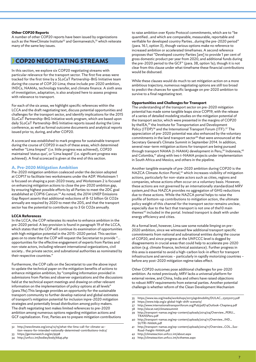#### **Other COP20 Reports**

A number of other COP20 reports have been issued by organizations such as the NewClimate Institute<sup>32</sup> and Germanwatch,<sup>33</sup> which reiterate many of the same key issues.

# **COP20 NEGOTIATING STREAMS**

In this section, we explore six COP20 negotiating streams with particular relevance for the transport sector. The first five areas were tracked for the first time by a SLoCaT Partnership-BtG Initiative team during the course of COP 20 Lima; these include pre-2020 ambition, INDCs, NAMAs, technology transfer, and climate finance. A sixth area of investigation, adaptation, is also analyzed here to assess progress with relevance to transport.

For each of the six areas, we highlight specific references within the LCCA and the draft negotiating text, discuss potential opportunities and challenges for the transport sector, and identify implications for the 2015 SLoCaT Partnership-BtG Initiative work program, which are based upon daily SLoCaT Partnership-BtG Initiative reports issued during the Lima conference, as well as formal outcome documents and analytical reports issued prior to, during, and after COP20.

A scorecard was established to mark progress for sustainable transport during the course of COP20 in each of these areas, which determined whether "Lima limped" (i.e. little progress was achieved), COP20 maintained 'status quo', or 'Lima leaped' (i.e. significant progress was achieved). A final scorecard is given at the end of this section.

### **A. Pre-2020 Mitigation Ambition**

Pre-2020 mitigation ambition coalesced under the decision adopted at COP17 to facilitate two workstreams under the ADP. Workstream 1 is focused on shaping a post-2020 treaty, and Workstream 2 is focused on enhancing mitigation actions to close the pre-2020 ambition gap, by ensuring highest possible efforts by all Parties to meet the 2DC goal established at COP16 Cancun.<sup>34</sup> As noted, the 2014 UNEP Emissions Gap Report asserts that additional reductions of 8-12 billion Gt CO2e annually are required by 2020 to meet the 2DS, and that the transport sector has the potential to contribute up to 3 Gt CO2e annually.

#### **LCCA References**

In the LCCA, the COP reiterates its resolve to enhance ambition in the pre-2020 period. A key provision is found in paragraph 19 of the LCCA, which states that the COP will continue its examination of opportunities with high mitigation potential in the 2015–2020 period. This section goes on to state that the COP will request the Secretariat to provide "… opportunities for the effective engagement of experts from Parties and non-state actors, including relevant international organizations, civil society… the private sector, and subnational authorities as nominated by their respective countries."

Furthermore, the COP calls on the Secretariat to use the above input to update the technical paper on the mitigation benefits of actions to enhance mitigation ambition, by "compiling information provided in submissions from Parties and observer organizations and the discussions held at the technical expert meetings and drawing on other relevant information on the implementation of policy options at all levels" (para.19a).This language provides an opportunity for the sustainable transport community to further develop national and global estimates of transport's mitigation potential for inclusion inpre-2020 mitigation strategies and potentially broad distribution among policy makers. The draft negotiating text makes limited references to pre-2020 ambition among numerous options regarding mitigation actions and GCF capitalization. First, Parties are to prepare mitigation contributions

- 33 https://germanwatch.org/en/9598
- 34 http://unfccc.int/bodies/body/6645.php

to raise ambition over Kyoto Protocol commitments, which are to "be quantified…and which are comparable, measurable, reportable and verifiable for developed country Parties…during the pre-2020 period" (para. 16.1, option 3), though various options make no reference to increased ambition or accelerated timeframes. A second reference proposes that "Developed country Parties [are] to provide 1 per cent of gross domestic product per year from 2020, and additional funds during the pre-2020 period to the GCF" (para. 38, option 1a); though it is not clear from this clause under what timeframe these financial contributions would be disbursed.

While these clauses would do much to set mitigation action on a more ambitious trajectory, numerous negotiating options are still too broad to predict the chances for specific language on pre-2020 ambition to survive to a final negotiating text.

#### **Opportunities and Challenges for Transport**

The understanding of the transport sector on pre-2020 mitigation potential has made some tangible leaps since COP19, with the release of a series of detailed modeling studies on the mitigation potential of the transport sector, which were presented in the margins of COP20 by theIEA,<sup>35</sup> the Institute for Transportation and Development Policy (ITDP)<sup>36</sup> and the International Transport Forum (ITF).<sup>37</sup> The appreciation of pre-2020 potential was also enhanced by the voluntary commitments in the land transport sector<sup>38</sup> that were announced at the Secretary General's Climate Summit in September 2014. In addition, several near-term mitigation actions for transport are being pursued through transport NAMA (t-NAMA) development in Peru,<sup>39</sup> Indonesia,<sup>40</sup> and Colombia,<sup>41</sup> along with two t-NAMA projects under implementation in South Africa and Mexico, and others in the pipeline.

Another tangible example of pre-2020 ambition during COP20 is the NAZCA Climate Action Portal,<sup>42</sup> which increases visibility of mitigation actions, particularly for non-state actors such as cities, regions and companies, whose actions often occur on a voluntary basis. However, these actions are not governed by an internationally standardized MRV system,and thus NAZCA provides no aggregation of GHG reductions due to these actions. While the NAZCA portal helps to raise the profile of bottom-up contributions to mitigation action, the ultimate policy weight of this channel for the transport sector remains unclear, especially due to the fact that transport is not one of the10 main themes<sup>43</sup> included in the portal. Instead transport is dealt with under energy efficiency and cities.

At a formal level, however, Lima saw some notable limping on pre-2020 ambition, since we witnessed few additional transport specific commitments from national and subnational entities during the course of COP20, and since progress at the UNFCCC level is dogged by disagreements in crucial areas that could help to accelerate pre-2020 action (e.g. climate finance, technical assistance). Further progress in this area is essential to avoid a high-carbon lock-in effect for transport infrastructure and services – particularly in rapidly motorizing countries – before any post-2020 mitigation regime takes effect.

Other COP20 outcomes pose additional challenges for pre-2020 ambition. As noted previously, MRV lacks a universal platform for external review, and China, India and others have raised objections to robust MRV requirements from external parties. Another potential challenge is whether reform of the Clean Development Mechanism

37 http://www.internationaltransportforum.org/Pub/pdf/14Outlook-Chapter4.pdf 38 http://slocat.net/climatesummit

- 40 http://transport-namas.org/wp-content/uploads/2014/11/Overview\_IND\_ SUTRI-NAMA.pdf
- 41 http://transport-namas.org/wp-content/uploads/2014/11/Overview\_COL\_Sus-Road-Freight-NAMA.pdf
- 42 http://climateaction.unfccc.int/about.aspx
- 43 http://climateaction.unfccc.int/tcthemes.aspx

<sup>32</sup> http://newclimate.org/2014/12/15/what-the-lima-call-for-climate-action-means-for-intended-nationally-determined-contributions-indcs/

<sup>35</sup> https://www.iea.org/media/workshops/2013/egrdmobility/DULAC\_23052013.pdf

<sup>36</sup> https://www.itdp.org/a-global-high-shift-scenario/

<sup>39</sup> http://transport-namas.org/wp-content/uploads/2014/04/Overview\_PERU\_ TRANSPeru.pdf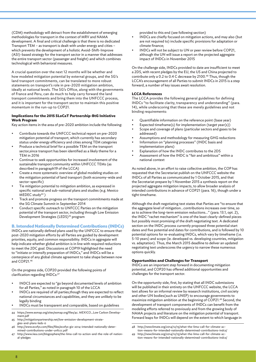(CDM) methodology will detract from the establishment of emerging methodologies for transport in the context of MRV and NAMA development. A final and critical challenge is that there is no dedicated Transport TEM – as transport is dealt with under energy and cities – which prevents the development of a holistic Avoid-Shift-Improve (ASI)-based strategy for the transport sector in a manner that addresses the entire transport sector (passenger and freight) and which combines technological with behavioral measures.

A crucial question over the next 12 months will be whether and how modeled mitigation potential by external groups, and the SG's land transport commitments, can be translated to more robust statements on transport's role in pre-2020 mitigation ambition, ideally at national levels. The SG's Office, along with the governments of France and Peru, can do much to help carry forward the land transport commitments and bring them into the UNFCCC process, and it is important for the transport sector to maintain this positive momentum in the run-up to COP21.

#### **Implications for the 2015 SLoCaT Partnership-BtG Initiative Work Program**

Key action items in the area of pre-2020 ambition include the following:

- Contribute towards the UNFCCC technical report on pre-2020 mitigation potential of transport, which currently has secondary status under energy efficiency and cities among TEM categories
- Produce a technical brief for a possible TEM on the transport sector,since transport has been identified as a likely theme for a TEM in 2016
- Continue to seek opportunities for increased involvement of the sustainable transport community within UNFCCC TEMs (as described in paragraph19 of the LCCA)
- Create a more systematic overview of global modeling studies on the mitigation potential of land transport (both economy-wide and sector-specific)
- Tie mitigation potential to mitigation ambition, as expressed in specific national and sub-national plans and studies (e.g. Mexico MEDEC study<sup>44</sup>)
- Track and promote progress on the transport commitments made at the SG Climate Summit in September 2014
- Conduct specific outreach to UNFCCC Parties on the mitigation potential of the transport sector, including through Low Emission Development Strategies (LEDS)<sup>45</sup> program

#### **B. Intended Nationally Determined Contributions (INDCs)**

INDCs are nationally defined plans used by the UNFCCC to ensure that post-2020 mitigation efforts by all Parties are guided by development priorities, equity, and common responsibility. INDCs in aggregate will help indicate whether global ambition is in line with required reductions to meet the 2DC goal. Discussions at COP19 highlighted the need to "initiate or intensify preparation of INDCs," and INDCs will be a centerpiece of any global climate agreement to take shape between now and COP21.46

On the progress side, COP20 provided the following points of clarification regarding INDCs:<sup>47</sup>

- INDCS are expected to "go beyond documented levels of ambition for all Parties," as noted in paragraph 10 of the LCCA
- INDCs are required of all parties, though they are expected to reflect national circumstances and capabilities, and they are unlikely to be legally binding
- INDCs must be transparent and comparable, based on guidelines

44 https://www.esmap.org/sites/esmap.org/files/4c. MEXICO\_Low Carbon Development.pdf

- 45 http://mitigationpartnership.net/low-emission-development-strategies-and-plans-leds-0
- http://www.ecofys.com/files/files/ecofys-giz-2014-intended-nationally-determined-contributions-under-unfccc.pdf
- 47 http://www.iiea.com/blogosphere/the-lima-call-to-action-and-the-role-of-national-pledges

provided to this end (see following section)

- INDCs are chiefly focused on mitigation actions, and may also (but are not required to) include specific provisions for adaptation or climate finance;
- INDCs will not be subject to UN or peer review before COP21, although the UN will issue a report on the projected aggregate impact of INDCs in November 2015

On the challenge side, INDCs provided to date are insufficient to meet a 2DS, with recent pledges by the EU, the US and China projected to contribute only a 0.2 to 0.4 C decrease by 2100.48 Thus, though the LCCA's encouragement of all Parties to submit INDCs in 2015 is a step forward, a number of key issues await resolution.

#### **LCCA References**

The LCCA provides the following general guidelines for defining INDCs "to facilitate clarity, transparency and understanding" (para. 14), while underscoring that these are merely guidelines and not binding requirements:

- Quantifiable information on the reference point (base year)
- $Expected$  timeframe(s) for implementation (target year(s))
- Scope and coverage of plans (particular sectors and gases to be addressed)
- Assumptions and methodology for measuring GHG reductions
- Information on "planning processes" (INDC basis and implementation plans)
- Explanation of how the INDC contributes to the 2DS
- Assessment of how the INDC is "fair and ambitious" within a national context

As noted above, in an effort to raise collective ambition, the COP has requested that the Secretariat publish on the UNFCCC website the INDCs of all Parties as communicated by 1 October 2015, and that the Secretariat prepare by 1 November 2015 a synthesis report on the projected aggregate mitigation impacts, to allow broader analysis of intended contributions in advance of COP21 (para. 16), though under a tight timeframe.

Although the draft negotiating text states that Parties are "to ensure that the aggregate level of mitigation…contributions increases over time, so as to achieve the long-term emission reductions…" (para. 13.1, opt. 2), the INDC "rachet mechanism" is one of the least clearly-defined pieces but possibly most promising of the draft negotiating text. A dedicated section on the INDC process currently proposed three potential start dates and five potential end dates for contributions, and is followed by 10 potential options for re-evaluating INDCs, which vary by timeframe (i.e. 5-10 years) and scope (ie. developed vs. developing countries, mitigation vs. adaptation). Thus, the March 2015 deadline to deliver an updated negotiating text underscores the urgency to narrow these numerous options quickly.

#### **Opportunities and Challenges for Transport**

INDCs are an important step forward in documenting mitigation potential, and COP20 has offered additional opportunities and challenges for the transport sector.

On the opportunity side, first, by stating that all INDC submissions will be published in their entirety on the UNFCCC website, the LCCA text allows for an informal review by research institutions, civil society and other UN bodies(such as UNEP) to encourage governments to maximize mitigation ambition at the beginning of COP21.49 Second, the development of transport components of INDCs can benefit from the modeling efforts referred to previously and from the growing body of NAMA projects and literature on the mitigation potential of transport. Forward leaps for INDCs will depend on the extent to which language in

<sup>48</sup> http://newclimate.org/2014/12/15/what-the-lima-call-for-climate-action-means-for-intended-nationally-determined-contributions-indcs/

<sup>49</sup> http://newclimate.org/2014/12/15/what-the-lima-call-for-climate-action-means-for-intended-nationally-determined-contributions-indcs/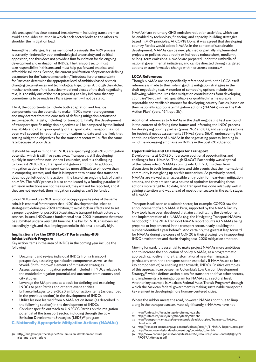this area specifies clear sectoral breakdowns – including transport – to avoid a free-rider situation in which each sector looks to the others to shoulder the mitigation load.

Among the challenges, first, as mentioned previously, the MRV process is currently hindered by both methodological uncertainty and political opposition, and thus does not provide a firm foundation for the ongoing development and evaluation of INDCs. The transport sector must take responsibility in this area and must help put forward practical and affordable solutions. Second, the current proliferation of options for defining parameters for the "ratchet mechanism," introduce further uncertainty for Parties to determine the appropriate level of ambition based on their changing circumstances and technological trajectories. Although the ratchet mechanism is one of the least clearly-defined pieces of the draft negotiating text, it is possibly one of the most promising as a key indicator that any commitments to be made in a Paris agreement will not be static.

Third, the opportunity to include both adaptation and finance components has the potential to make INDCs more heterogeneous and may detract from the core task of defining mitigation actionsand sector-specific targets, including for transport. Finally, the development of transport specific mitigation objectives will be hampered by the limited availability and often-poor quality of transport data. Transport has not been well covered in national communications to date and it is likely that setting mitigation objectives for the transport sector will suffer the same fate because of poor data.

It should be kept in mind that INDCs are specifying post-2020 mitigation potential, which is still five years away. Transport is still developing quickly in most of the non-Annex 1 countries, and it is challenging to forecast 2020-2025 transport mitigation ambition. In addition, mitigation actions for transport can be more difficult to pin down than in competing sectors, and thus it is important to ensure that transport does not get left out of the action in the face of an ongoing lack of clarity on MRV. The MRV process is also complicated by a funding paradox: if emission reductions are not measured, they will not be reported, and if they are not reported, then mitigation strategies can't be funded.

Since INDCs and pre-2020 ambition occupy opposite sides of the same coin, it is essential for transport that INDC development be linked to strategies to define pre-2020 ambition, to avoid lock-in effects and to set a proper trajectory for post-2020 sustainable transport infrastructure and services. In sum, INDCs are a fundamental post-2020 instrument that must be submitted under a very tight timeline. The bar for INDCs has been set exceedingly high, and thus limping potential in this area is equally high.

#### **Implications for the 2015 SLoCaT Partnership-BtG InitiativeWork Program**

Key action items in the area of INDCs in the coming year include the following:

- Document and review individual INDCs from a transport perspective, assessing quantitative components as well asthe 'Avoid-Shift-Improve' elements of mitigation strategies
- Assess transport mitigation potential included in INDCs relative to the modeled mitigation potential and outcomes from country and city studies
- Leverage the MA process as a basis for defining and explaining INDCs to peer Parties and other relevant entities
- Enhance linkages to pre-2020 ambition action items (as described in the previous section) in the development of INDCs
- Utilize lessons learned from NAMA action items (as described in the following section) in the development of INDCs
- Conduct specific outreach to UNFCCC Parties on the mitigation potential of the transport sector, including through the Low Emission Development Strategies (LEDS)<sup>50</sup> program

**C. Nationally Appropriate Mitigation Actions (NAMAs)**

NAMAs51 are voluntary GHG emission reduction activities, which can be enabled by technology, financing, and capacity-building strategies based in MRV principles. At COP18 Doha, it was agreed that developing country Parties would adopt NAMAs in the context of sustainable development. NAMAs can be new, planned or partially implemented projects or policies that directly or indirectly reduce short, medium-, or long-term emissions. NAMAs are prepared under the umbrella of national governmental initiatives, and can be directed through targeted actions or transformative change within or across sectors.<sup>52</sup>

#### **LCCA References**

Though NAMAs are not specifically referenced within the LCCA itself, reference is made to their role in guiding mitigation strategies in the draft negotiating text. A number of competing options include the following, which requires that mitigation contributions from developing countries"be quantified, quantifiable or qualified in a measurable, reportable and verifiable manner for developing country Parties, based on their nationally appropriate mitigation actions (NAMAs) under the Bali Action Plan" (para. 16.1, opt. 3b).

Additional references to NAMAs in the draft negotiating text are found in the context of defining time frames and informing the INDC process for developing country parties (paras 76.2 and 87), and serving as a basis for technical needs assessments (TNAs) (para. 56.4), underscoring the continued relevance of NAMAs in the negotiating process, keeping in mind the increasing emphasis on INDCs in the post-2020 period.

#### **Opportunities and Challenges for Transport**

Developments at COP20 underscore additional opportunities and challenges for t-NAMAs. Though SLoCaT Partnership was skeptical of the future role of NAMAs coming into COP20, it is clear from discussions in both formal sessions and side events that the international community is not giving up on this mechanism. As previously noted, NAMAs are viewed as an accessible entry point for near-term mitigation actions, and they are seen as a source of optimism for making these actions more tangible. To date, land transport has done relatively well in gaining attention and was ahead of most other sectors in the early stages of NAMAs.

Transport is still seen as a suitable sector; for example, COP20 saw the announcement of a t-NAMA in Peru, supported by the NAMA Facility. New tools have been developed that aim at facilitating the development and implementation of t-NAMAs (e.g. the Navigating Transport NAMAs handbook)<sup>53</sup>. The 2014 Transport NAMA report counts 43 NAMAs being prepared or implemented in the transport sector, nearly doubling the number identified a year before<sup>54</sup>. And certainly, the greatest leap forward for NAMAs during the course of COP 20 is their growing role in supporting INDC development and thusin shapingpost-2020 mitigation ambition.

Moving forward, it is essential to make project NAMAs more ambitious and to increase the application of policy NAMAs, as a programmatic approach can deliver more transformational near-term impacts, particularly within the transport sector, especially if NAMAs are to be a key component of, or enabling step towards, INDCs. Positive examples of this approach can be seen in Colombia's Low Carbon Development Strategy,<sup>55</sup> which defines action plans for transport and five other sectors, and implements a training program for NAMAs at a sectoral level. Another key example is Mexico's Federal Mass Transit Program<sup>56</sup> through which the Mexican federal government is making sustainable transport a key element in developing more human-centered cities.

Where the rubber meets the road, however, NAMAs continue to limp along in the transport sector. Most significantly, t-NAMAs have not

- 51 http://unfccc.int/focus/mitigation/items/7172.php
- 52 http://unfccc.int/focus/mitigation/items/7172.php
- 53 http://transport-namas.org/wp-content/uploads/2014/04/Transport\_NAMA\_ Handbook.pdf
- 54 http://transport-namas.org/wp-content/uploads/2014/11/T-NAMA-Report\_2014.pdf

<sup>50</sup> http://mitigationpartnership.net/low-emission-development-strategies-and-plans-leds-0

<sup>55</sup> http://www.lowemissiondevelopment.org/countries/colombia 56 http://www.conuee.gob.mx/work/sites/CONAE/resources/LocalContent/8356/2/1\_ PROTRAMfonadin.pdf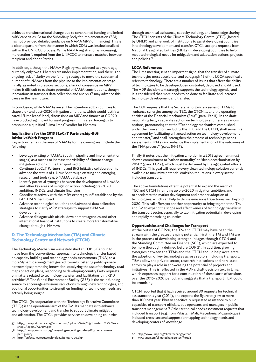achieved transformational change due to constrained funding andlimited MRV capacities. So far the Subsidiary Body for Implementation (SBI) has not provided detailed guidance on NAMA MRV or financing. This is a clear departure from the manner in which CDM was institutionalized within the UNFCCC process. While NAMA registration is increasing, more action is required from the UNFCCC to increase matches between recipient and donor Parties.

In addition, although the NAMA Registry was adopted two years ago, currently only two t-NAMAs are under implementation, and there is an ongoing lack of clarity on the funding strategy to move the substantial number of t-NAMAs from the pipeline to the implementation stage. Finally, as noted in previous sections, a lack of consensus on MRV makes it difficult to evaluate potential t-NAMA contributions, though innovations in transport data collection and analysis<sup>57</sup> may advance this cause in the near future.

In conclusion, while NAMAs are still being embraced by countries to shape pre- and post-2020 mitigation ambitions, which would justify a careful 'Lima leaps' label, discussions on MRV and finance at COP20 have blocked significant forward progress in this area, forcing us to pronounce a qualified "Lima limps" verdict for NAMAs.

#### **Implications for the 2015 SLoCaT Partnership-BtG InitiativeWork Program**

Key action items in the area of NAMAs for the coming year include the following:

- Leverage existing t-NAMAs (both in pipeline and implementation stages) as a means to increase the visibility of climate change mitigation actions in the transport sector
- Continue SLoCaT Partnership and BtG Initiative collaboration to advance the status of t-NAMAs through existing and emerging research and tools (e.g. t-NAMA database)
- Identify potential synergies between the development of NAMAs and other key areas of mitigation action including pre-2020 ambition, INDCs, and climate financing
- Coordinate actively with the MRV expert group<sup>58</sup> established by the GIZ TRANSfer Project
- Advance technological solutions and advanced data collection strategies to clarify MRV strategies to support t-NAMA development
- Advance dialogue with official development agencies and other international financial institutions to create more transformative change through t-NAMAs

### **D. The Technology Mechanism (TM) and Climate Technology Centre and Network (CTCN)**

The Technology Mechanism was established at COP16 Cancun to move from the 'conventional' approach to technology transfer based on capacity building and technology needs assessments (TNA) to a more 'dynamic arrangement geared towards fostering public-private partnerships; promoting innovation; catalyzing the use of technology road maps or action plans; responding to developing country Party requests on matters related to technology transfer; and facilitating joint R&D activities'.59 The Global Environment Facility (GEF) is the main funding source to encourage emissions reductions through new technologies, and additional opportunities to strengthen funding for technology needs are actively being sought.

The CTCN (in cooperation with the Technology Executive Committee (TEC)) is the operational arm of the TM. Its mandate is to enhance technology development and transfer to support climate mitigation and adaptation. The CTCN provides services to developing countries

59 http://unfccc.int/focus/technology/items/7000.php

through technical assistance, capacity building, and knowledge sharing. The CTCN consists of the Climate Technology Centre (CTC) (hosted by UNEP) and a network of institutions to assist developing countries in technology development and transfer. CTCN accepts requests from National Designated Entities (NDEs) in developing countries to help meet technological needs for mitigation and adaptation actions, projects and policies.<sup>60</sup>

#### **LCCA References**

The Lima meeting sent an important signal that the transfer of climate technologies must accelerate, and paragraph 19 of the LCCA specifically refers to technology. There are a number of issues that affect the ability of technologies to be developed, demonstrated, deployed and diffused. The ADP decision text strongly supports the technology agenda, and it is considered that more needs to be done to facilitate and increase technology development and transfer.

The COP requests that the Secretariat organize a series of TEMs to "enhance synergies among the TEC, the CTCN, … and the operating entities of the Financial Mechanism (FM)" (para. 19.a.ii). In the draft negotiating text, a separate section on technology enumerates various options, pronouncing that the "Technology Mechanism established under the Convention, including the TEC and the CTCN, shall serve this agreement by facilitating enhanced action on technology development and transfer," and shall "strengthen the process of technology needs assessment (TNAs) and enhance the implementation of the outcomes of the TNA process" (paras 54-57).

Finally, it notes that the mitigation ambition in a 2015 agreement must show a commitment to 'carbon neutrality' or "deep decarbonisation by 2050" (para. 13.2.a), which must be delivered by the aggregated efforts of INDCs. This goal will require every clean technology solution currently available to maximize potential emission reductions in every sector – including transport.

The above formulations offer the potential to expand the reach of TEC and CTCN in ramping up pre-2020 mitigation ambition, and to accelerate the market development and broader adoption of technologies, which can help to define emissions trajectories well beyond 2020. This call offers yet another opportunity to bring together the TM and FM to expand the scope and effectiveness of technology transfer in the transport sector, especially to tap mitigation potential in developing and rapidly motorizing countries.

#### **Opportunities and Challenges for Transport**

At the outset of COP20, the TM and CTCN may have been the stream with the greatest leaping potential. First, the TM and FM are in the process of developing stronger linkages through CTCN and the Standing Committee on Finance (SCF), which are expected to be more thoroughly defined before COP 21. In addition, growing synergies between the TEMs and the CTCN should help accelerate the adoption of key technologies across sectors including transport. TEMs allow the private sector, research institutions and non-state actors to play a role in showcasing the potential of projects and initiatives. This is reflected in the ADP's draft decision text in Lima which expresses support for a continuation of these sorts of sessions over the 2015-2020 period, and suggests that a transport TEM could be promising.

CTCN reported that it had received around 30 requests for technical assistance this year (2014), and expects the figure to grow to more than 100 next year. Bhutan specifically requested assistance to build capacities of transport officials, bus operators and managers in public transport management.61 Other technical needs assessment requests that included transport (e.g. from Pakistan, Mali, Macedonia, Mozambique) included cross-sectoral support for mapping technology needs and developing centers of knowledge.

<sup>57</sup> http://transport-namas.org/wp-content/uploads/2014/04/Transfer\_MRV-Workshop\_Report\_Warsaw.pdf

<sup>58</sup> http://transport-namas.org/measuring-reporting-and-verification-mrv-expert-group/

<sup>60</sup> http://www.unep.org/climatechange/ctcn/

<sup>61</sup> www.unep.org/climatechange/ctcn/Portals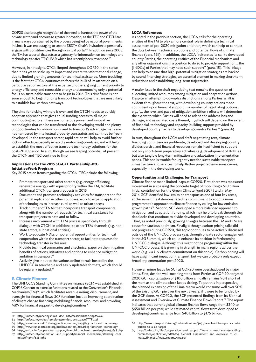COP20 also brought recognition of the need to harness the power of the private sector and encourage greater innovation, as the TEC and CTCN are in many ways constrained by the process being led by national governments. In Lima, it was encouraging to see the SBSTA Chair's invitation to personally engage with constituencies through a virtual portal<sup>62</sup>. In addition since 2005, the TM has a portal that acts as a gateway for information on technology and technology transfer TT:CLEAR which has recently been revamped.<sup>63</sup>

However, in hindsight, CTCN limped throughout COP20 in the sense that it has yet to scale up its impact and create transformational change, due to limited granting amounts for technical assistance. More troubling is the fact that CTCN continues to focus the bulk of its attention on a particular set of sectors at the expense of others, giving current priority to energy efficiency and renewable energy and announcing only a potential focus on sustainable transport to begin in 2016. This timeframe is not soon enough to begin funding transport technologies that are most likely to establish low-carbon pathways.

The time for picking winners is over, and the CTCN needs to quickly adopt an approach that gives equal funding access to all major contributing sectors. There are numerous proven and innovative technologies that can be transferred to the developing world and plenty of opportunities for innovation – and to transport's advantage many are not hampered by intellectual property constraints and can thus be freely developed. In the transport sector, rapid action will help to avoid further lock-in effects, especially in rapidly motorizing countries, and will help to establish the most effective transport technology solutions for the post-2020 period. In sum, though we see leaping potential, at present the CTCN and TEC continue to limp.

#### **Implications for the 2015 SLoCaT Partnership-BtG InitiativeWork Program**

Key 2015 action items regarding the CTCN-TECinclude the following:

- Promote transport and other sectors (e.g. energy efficiency, renewable energy) with equal priority within the TM; facilitate additional CTCN transport requests in 2015
- Document and promote technology activities for transport and for potential replication in other countries; work to expand application of technologies to increase rural as well as urban access
- Track number of TNAs that incorporate transport components, along with the number of requests for technical assistance for transport projects to date and to follow
- Increase involvement with TEM process specifically through dialogue with CTCN, in additional to other TEM channels (e.g. nonstate actors, subnational entities)
- Work to educate NDEs on potential opportunities for technical cooperation within the transport sector, to facilitate requests for technology transfer in this area
- Provide technical summaries and a technical paper on the mitigation benefits of actions, initiatives and options to enhance mitigation ambition in transport<sup>64</sup>
- Actively give input to the various online portals hosted by the UNFCCC in searchable and easily updatable formats, which should be regularly updated.<sup>65</sup>

#### **E. Climate Finance**

The UNFCCC's Standing Committee on Finance (SCF) was established at COP16 Cancun to exercise functions related to the Convention's Financial Mechanism(FM)<sup>66</sup>, which facilitates revenue raising, disbursement, and oversight for financial flows. SCF functions include improving coordination of climate change financing, mobilizing financial resources, and providing MRV for financial support to developing countries.<sup>67</sup>

64 http://www.transport2020.org/publicationitem/2044/btg-factsheet-technology

#### **LCCA References**

As noted in the previous section, the LCCA calls for the operating entities of the FM to play a more central role in defining a technical assessment of pre-2020 mitigation ambition, which can help to connect the dots between technical solutions and potential flows of climate finance (para. 19ii). In addition, the LCCA "reiterates its call to developed country Parties, the operating entities of the Financial Mechanism and any other organizations in a position to do so to provide support for … the [INDCs] of Parties that may need such support" (para. 15). This linkage can help to ensure that high-potential mitigation strategies are backed by sound financing strategies, an essential element in making short-term reductions and establishing long-term trajectories.

A major issue in the draft negotiating text remains the question of allocating limited resources among mitigation and adaptation actions. Despite an attempt to downplay distinctions among Parties, a rift is evident throughout the text, with developing country actions made contingent upon financial support in a number of negotiating options, e.g., "… the level and pace of mitigation ambition / efforts will determine the extent to which Parties will need to adapt and address loss and damage, and associated costs thereof, … ,which will depend on the extent of financial, technology and capacity-building support provided by developed country Parties to developing country Parties." (para. 4)

In sum, throughout the LCCA and draft negotiating text, climate financing contingencies proliferate, developed and developing country divides persist, and financial resources remain insufficient to support not only short-term preparatory activities (e.g. development of INDCs) but also tangible long-term mitigation and adaptation implementation needs. This spells trouble for urgently needed sustainable transport infrastructure and services to help flatten projected emissions curves, especially in the developing world.

#### **Opportunities and Challenges for Transport**

Climate finance made limited leaps at COP20. First, there was measured movement in surpassing the concrete target of mobilizing a \$10 billion initial contribution for the Green Climate Fund (GCF) and in May 2014 GCF identified low-emission transport as one of four key areas, at the same time it demonstrated its commitment to adopt a more programmatic approach to climate finance by calling for low emission growth paths68. Second, SCF developed a more balanced approach to mitigation and adaptation funding, which may help to break through the deadlocks that continue to divide developed and developing countries. Third, as noted previously, growing linkages between the TM and FM are cause for cautious optimism. Finally, although carbon pricing talks did not progress during COP20, this topic continues to be actively discussed outside of the UNFCCC process (e.g. through private sector engagement in the SG Summit), which could enhance its position in forthcoming UNFCCC dialogue. Although this might not be progressing within the UNFCCC process, it is growing in strength in many regions across the world (e.g. via UN climate commitment on this topic). Carbon pricing will have a significant impact on transport, but we can probably only expect broad implementation post 2020.

However, minor leaps for SCF at COP20 were overshadowed by major limps. First, despite well-meaning steps from Parties at COP 20, targeted 2020 GCF capitalization of \$100 billion annually remains 90% short of the mark as the climate clock keeps ticking. To put this in perspective, the planned expansion of the Lima Metro would consume well over 50% of the existing GCF pie over the next 5 years, if it were to be funded by the GCF alone. At COP20, the SCF presented findings from its Biennial Assessment and Overview of Climate Finance Flows Report.<sup>69</sup> The report indicates that current global climate finance flows range from \$340 to \$650 billion per year, while estimated capital flows from developed to developing countries range from \$40 billion to \$175 billion.

<sup>62</sup> http://unfccc.int/meetings/lima\_dec\_2014/session/8532.php#CCC

<sup>63</sup> http://unfccc.int/ttclear/templates/render\_cms\_page?TTF\_tei

<sup>65</sup> http://www.transport2020.org/publicationitem/2044/btg-factsheet-technology 66 http://unfccc.int/cooperation\_support/financial\_mechanism/review/items/3658.php

<sup>67</sup> http://unfccc.int/cooperation\_and\_support/financial\_mechanism/standing\_committee/items/6881.php

<sup>68</sup> http://www.transport2020.org/publicationitem/3071/new-land-transports-contribution-to-a-2c-target

<sup>69</sup> http://unfccc.int/files/cooperation\_and\_support/financial\_mechanism/standing\_ committee/application/pdf/2014\_biennial\_assessment\_and\_overview\_of\_climate\_finance\_flows\_report\_web.pdf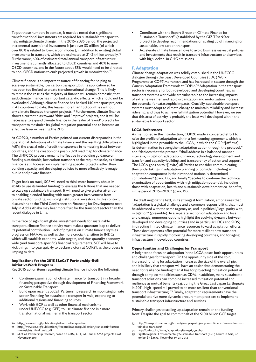To put these numbers in context, it must be noted that significant transformational investments are required for sustainable transport to help mitigate climate change. In the 2015-2035 period, the projected incremental transitional investment is just over \$3 trillion (of which over 80% is related to low-carbon modes), in addition to existing global investments in transport, which are estimated at \$1-2 trillion annually.<sup>70</sup> Furthermore, 60% of estimated total annual transport infrastructure investment is currently allocated to OECD countries and 40% to non-OECD countries, and in the future about 85% would need to be directed to non-OECD nations to curb projected growth in motorization.<sup>71</sup>

Climate finance is an important source of financing for helping to scale-up sustainable, low carbon transport, but its application so far has been too limited to create transformational change. This is likely to remain the case as the majority of finance will remain domestic; that said, climate finance has important catalytic effects, which should not be overlooked. Although climate finance has backed 140 transport projects in 43 countries to date, this leaves more than 150 countries without any climate financed transport projects.<sup>72</sup> Furthermore, climate finance shows a current bias toward 'shift' and 'improve' projects, and it will be necessary to expand climate finance in the realm of 'avoid' projects for transport to maximize its global mitigation potential and to become an effective lever in meeting the 2DS.

At COP20, a number of Parties pointed out current discrepancies in the operational definitions of climate finance and the resulting difficulties in MRV; the crucial role of credit transparency in harnessing trust between countries, and the creation of a post-2020 road map for climate finance. The UNFCCC process remains ineffective in providing guidance on funding sustainable, low carbon transport at the required scale, as climate finance is still focused on implementing specific projects rather than building capacity and developing policies to more effectively leverage public and private finance.

To get back on track, SCF will need to think more honestly about its ability to use its limited funding to leverage the trillions that are needed to scale up sustainable transport. It will need to give greater attention to enabling blended funding with much greater involvement from private sector funding, including institutional investors. In this context, discussions at the Third Conference on Financing for Development next July in Addis Ababa may bear more fruit for the transport sector than the recent dialogue in Lima.

In the face of significant global investment needs for sustainable transport, climate finance activity must make a quantum leap to deliver its potential contribution. Lack of progress on climate finance stymies progress on NAMAs as well as the more crucial transition to INDCs, which will establish economy-wide targets, and thus quantify economywide (and transport-specific) financial requirements. SCF will have to kick things into gear quickly to declare victory at COP21, as the process is limping to date.

#### **Implications for the 2015 SLoCaT Partnership-BtG InitiativeWork Program**

Key 2015 action items regarding climate finance include the following:

- Continue examination of climate finance for transport in a broader financing perspective through development of Financing Framework on Sustainable Transport
- Build upon recent SLoCaT Partnership research in mobilizing private sector financing for sustainable transport in Asia, expanding to additional regions and financing sources
- Work with GCF as well as other financial mechanisms under UNFCCC (e.g. GEF) to use climate finance in a more transformational manner in the transport sector
- Coordinate with the Expert Group on Climate Finance for Sustainable Transport<sup>73</sup> (established by the GIZ TRANSfer project) to develop recommendations on scaling up of financing for sustainable, low carbon transport
- Accelerate climate finance flows to avoid business-as-usual policies and investments that result in transport infrastructure and services with high locked-in GHG emissions

#### **F. Adaptation**

Climate change adaptation was solidly established in the UNFCCC dialogue through the Least Developed Countries (LDC) Work Programme at COP7 Marrakesh, and has increased in stature through the Cancun Adaptation Framework at COP16.74 Adaptation in the transport sector is necessary for both developed and developing countries, as transport systems worldwide are vulnerable to the increasing impacts of extreme weather, and rapid urbanization and motorization increase the potential for catastrophic impacts. Crucially, sustainable transport systems must adapt to climate change to maintain reliability and increase ridership, and thus to achieve full mitigation potential. However, we see that this area of activity is probably the least well developed within the sustainable transport sector.

#### **LCCA References**

As mentioned in the introduction, COP20 made a concerted effort to raise the profile of adaptation within a forthcoming agreement, which is highlighted in the preamble to the LCCA, in which the COP "[affirms] its determination to strengthen adaptation action through the protocol," and "decides that the protocol "shall address in a balanced manner, inter alia, mitigation, adaptation, finance, technology development and transfer, and capacity-building, and transparency of action and support." The LCCA goes on to "[invite] all Parties to consider communicating their undertakings in adaptation planning or consider including an adaptation component in their intended nationally determined contributions" (para. 12), and finally "decides to continue the technical examination of opportunities with high mitigation potential, including those with adaptation, health and sustainable development co-benefits, in the period 2015–2020" (para. 19).

The draft negotiating text, in its strongest formulation, emphasizes that "adaptation is a global challenge and a common responsibility…that must be addressed with the same urgency as, and in political / legal parity with, mitigation" (preamble). In a separate section on adaptation and loss and damage, numerous options highlight the evolving dynamic between developed and developing countries (and in particular LDCs and SIDS) in directing limited climate finance resources toward adaptation efforts. These developments offer potential for more resilient new transport infrastructure in rapidly motorizing developing countries, and for aging infrastructure in developed countries.

#### **Opportunities and Challenges for Transport**

A heightened focus on adaptation in the LCCA poses both opportunities and challenges for transport. On the opportunity side of the coin, increased funding for adaptation increases the size of the overall pie, and it is likely that transport will have an easier time demonstrating the need for resilience funding than it has for projecting mitigation potential through complex modalities such as CDM. In addition, many sustainable transport solutions can combine increased mitigation potential and resilience as mutual benefits (e.g. during the Great East Japan Earthquake in 2011, high-speed rail proved to be more resilient than conventional transport infrastructure).75 Finally, adaptation requirements have the potential to drive more dynamic procurement practices to implement sustainable transport infrastructure and services.

Primary challenges to scaling up adaptation remain on the funding front. Despite the goal to commit half of the \$100 billion GCF target

http://www.wri.org/publication/trillion-dollar-question

http://www.iea.org/publications/freepublications/publication/transportinfrastructureinsights\_final\_web.pdf

<sup>72</sup> SLoCaT Partnership research, based on CDM, CTF, GEF and NAMA projects as of November 2015

<sup>73</sup> http://transport-namas.org/expertgroup/expert-group-on-climate-finance-for-sustainable-transport/

<sup>74</sup> http://unfccc.int/focus/adaptation/items/6999.php

<sup>75</sup> Eighth Regional Environmentally Sustainable Transport (EST) Forum in Asia, Colombo, Sri Lanka, November 19-21, 2014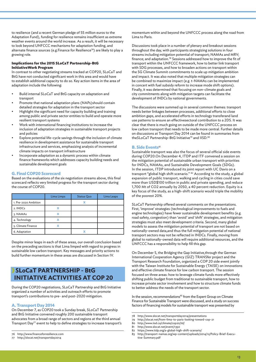to resilience (and a recent German pledge of 55 million euros to the Adaptation Fund), funding for resilience remains insufficient as extreme weather events around the world increase. As a result, it will be necessary to look beyond UNFCCC mechanisms for adaptation funding, and alternate finance sources (e.g. Finance for Resilience<sup>76</sup>) are likely to play a growing role.

#### **Implications for the 2015 SLoCaT Partnership-BtG InitiativeWork Program**

In contrast to other negotiating streams tracked at COP20, SLoCaT and BtG have not conducted significant work in this area and would have to establish additional capacity to do so. Key action items in the area of adaptation include the following:

- Build internal SLoCaT and BtG capacity on adaptation and transport
- Promote that national adaptation plans (NAPs)should contain detailed strategies for adaptation in the transport sector
- Highlight the significant need for capacity building and training among public and private sector entities to build and operate more resilient transport systems
- Work with international financing institutions to increase the inclusion of adaptation strategies in sustainable transport projects and policies
- Explore potential life-cycle savings through the inclusion of climate resilience in development assistance for sustainable transport infrastructure and services, emphasizing analysis of incremental climate impacts on transport infrastructure
- Incorporate adaptation as a dynamic process within climate finance frameworks which addresses capacity building needs and sustainable development goals

#### **G. Final COP20 Scorecard**

Based on the evaluations of the six negotiation streams above, this final scorecard reflects very limited progress for the transport sector during the course of COP20.

|                      | Lima Limps | <b>Status Quo</b> | Lima Leaps |
|----------------------|------------|-------------------|------------|
| 1. Pre-2020 Ambition |            | χ                 |            |
| 2. INDCs             |            |                   |            |
| 3. NAMAs             |            |                   |            |
| 4. Technology        |            |                   |            |
| 5. Climate Finance   |            |                   |            |
| 6. Adaptation        |            |                   |            |

Despite minor leaps in each of these areas, our overall conclusion based on the preceding sections is that Lima limped with regard to progress in sustainable low carbon transport. Key messages and priority actions to build further momentum in these areas are discussed in Section IV.

# **SLoCaT PARTNERSHIP - BtG INITIATIVE ACTIVITIES AT COP 20**

During the COP20 negotiations, SLoCaT Partnership and BtG Initiative organized a number of activities and outreach efforts to promote transport's contributions to pre- and post-2020 mitigation.

#### **A. Transport Day 2014**

On December 7, as COP20 took a Sunday break, SLoCaT Partnership and BtG Initiative convened roughly 200 sustainable transport advocates from a broad range of sectors and regions at the third annual Transport Day77 event to help to define strategies to increase transport's momentum within and beyond the UNFCCC process along the road from Lima to Paris.

Discussions took place in a number of plenary and breakout sessions throughout the day, with participants strategizing solutions in four streams including mitigation potential of transport; NAMAs and MRV; finance; and adaptation.78 Sessions addressed how to improve the fit of transport within the UNFCCC framework, how to better link transport with SDG processes, and how to broaden actions on transport within the SG Climate Summit commitments to scale up mitigation ambition and impact. It was also noted that multiple mitigation strategies can be combined to maximize impact (e.g. t-NAMAs can be implemented in concert with fuel subsidy reform to increase mode shift options). Finally, it was determined that focusing on non-climate goals and city commitments along with mitigation targets can facilitate the development of INDCs by national governments.

The discussions were summed up in several common themes: transport needs better linkages between processes, additional efforts to close ambition gaps, and accelerated efforts in technology transferand land use patterns to ensure an effectivesectoral contribution to a 2DS. It was clear that there is much going on outside of the UNFCCC process on low carbon transport that needs to be made more central. Further details on discussions at Transport Day 2014 can be found in summaries from theSLoCaT Partnership-BtG Initiative<sup>79</sup> and IISD.<sup>80</sup>

#### **B. Side Events**<sup>81</sup>

Sustainable transport was also the focus of several official side events during COP20.On December 4, ITDP and ITF convened a session on the mitigation potential of sustainable urban transport with priorities for INDCs, NAMAs, and Sustainable Development Goals (SDGs). In the session, ITDP introduced its joint report with UC Davis on a transport "global high shift scenario." <sup>82</sup> According to the study, a global expansion of public transport, walking and cycling in cities could save more than USD\$100 trillion in public and private spending, and reduce 1,700 Mt of CO2 annually by 2050, a 40 percent reduction. Equity is a key focus of the study, as a high-shift scenario would triple the mobility of the poorest 20%.

SLoCaT Partnership offered several comments on the presentations. First, 'improve' strategies (technological improvements to fuels and engine technologies) have fewer sustainable development benefits (e.g. road safety, congestion) than 'avoid' and 'shift' strategies, and mitigation strategies must also meet development criteria. Second, many global models to assess the mitigation potential of transport are not based on nationally-owned data,and thus the full mitigation potential of national transport sectors may not be reflected in INDCs. Finally, moving from global to nationally-owned data will require additional resources, and the UNFCCC has a responsibility to help fill this gap.

On December 5, the Bridging the Gap Initiative,through the German International Cooperation Agency (GIZ) TRANSfer project and the Transport Research Foundation, organized a COP 20 side event jointly with the Taiwan Institute for Sustainable Energy (TAISE) on innovations and effective climate finance for low carbon transport. The session focused on three areas: how to leverage climate funds more effectively shifting public budget from traditional to sustainable transport, how to increase private sector involvement and how to structure climate funds to better address the needs of the transport sector.

In the session, recommendations<sup>83</sup> from the Expert Group on Climate Finance for Sustainable Transport were discussed, and a study on success factors of financing models for sustainable transport was presented by

<sup>76</sup> http://www.financeforresilience.com

<sup>77</sup> http://slocat.net/transportday2014

<sup>78</sup> http://www.slocat.net/transportday2014/presentations

<sup>79</sup> http://slocat.net/from-lima-to-paris-looking-toward-cop-21

<sup>80</sup> http://www.iisd.ca/climate/cop20/td/

<sup>81</sup> http://www.slocat.net/event/1350<br>82 https://www.itdp.org/a-global-hig

https://www.itdp.org/a-global-high-shift-scenario/

<sup>83</sup> http://transport-namas.org/wp-content/uploads/2014/12/Policy-Brief-Executive-Summary.pdf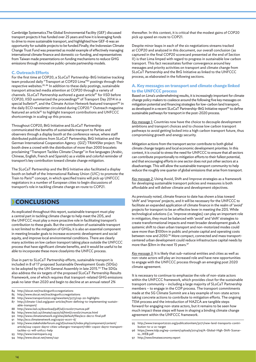Cambridge Systematics.The Global Environmental Facility (GEF) discussed transport projects it has funded over 25 years and how it is leveraging funds to drive to more sustainable transport, and highlighted how GEF-6 was an opportunity for suitable projects to be funded.Finally, the Indonesian Climate Change Trust Fund was presented as model example of effectively managing international climate finance and domestic co-funding, and representatives from Taiwan made presentations on funding mechanisms to reduce GHG emissions through innovative public-private partnership models.

#### **C. Outreach Efforts**

For the first time at COP20, a SLoCaT Partnership-BtG Initiative tracking team produced daily "Transport at COP20 Lima"84 postings through their respective websites.<sup>85, 86</sup> In addition to these daily postings, sustainable transport attracted media attention at COP20 through a variety of channels. SLoCaT Partnership authored a guest article<sup>87</sup> for IISD before COP20, IISD summarized the proceedings<sup>88</sup> of Transport Day 2014 in a special bulletin<sup>89</sup>, and the Climate Action Network featured transport<sup>90</sup> in the daily ECO newsletter circulated during COP20.<sup>91</sup> Outreach magazine featured an article<sup>92</sup> to highlight transport contributions and UNFCCC shortcomings in scaling up this process.

Throughout COP20, BtG Initiative and SLoCaT Partnership communicated the benefits of sustainable transport to Parties and observers through a display booth at the conference venue, where staff distributed publications from SLoCaT Partnership, BtG Initiative and the German International Cooperation Agency (GIZ) TRANSfer project. The booth drew a crowd with the distribution of more than 2000 bracelets proclaiming "Transport Tackles Climate Change" in five languages (Arabic, Chinese, English, French and Spanish) as a visible and colorful reminder of transport's key contribution toward climate change mitigation.

The SLoCaT Partnership and the BtG Initiative also facilitated a display booth on behalf of the International Railway Union (UIC) to promote the Train to Paris<sup>93</sup> concept, in which specified trains will pick up UNFCCC negotiators in a number of European cities to begin discussions of transport's role in tackling climate change en route to COP21.

# **CONCLUSIONS**

As explicated throughout this report, sustainable transport must play a central part in tackling climate change to help meet the 2DS, and the UNFCCC must play a more proactive role in facilitating transport's contribution to these goals. But the contribution of sustainable transport is not limited to the mitigation of GHGs; it is also an essential component in meeting broader goals to increase economic development and social equity, and improve local environmental conditions. There are clearly many activities on low carbon transport taking place outside the UNFCCC process that have significant climate benefits, and it would be useful to be able to incorporate these more closelyinto the UNFCC process.

Due in part to SLoCaT Partnership efforts, sustainable transport is included in 8 of 17 proposed Sustainable Development Goals (SDGs) to be adopted by the UN General Assembly in late 2015.<sup>94</sup> The SDGs also address the six targets of the proposed SLoCaT Partnership Results Framework, one of which requires that transport-related GHG emissions peak no later than 2020 and begin to decline at an annual rateof 2%

- 84 http://slocat.net/trackingunfcccnegotiations<br>85 http://www.slocat.net/trackingunfcccnegotia
- 85 http://www.slocat.net/trackingunfcccnegotiations<br>86 http://www.transport2020.org/newsitem/3273/cop
- http://www.transport2020.org/newsitem/3273/cop-20-highlights
- 87 http://climate-l.iisd.org/guest-articles/from-defining-to-implementing-sustainable-transport/
- 88 http://www.iisd.ca/download/pdf/sd/crsvol217num2e.pdf
- 89 http://www.iisd.ca/climate/cop20/td/html/crsvol217num2e.html 90 http://www.climatenetwork.org/sites/default/files/eco-dec12-final.pdf
- 91 http://eco.climatenetwork.org/cop20-eco11-6/
- 
- 92 http://www.stakeholderforum.org/sf/outreach/index.php/component/content/ article/224-cop20-day10-cities-urbangov-transport/11861-cop20-day10-transporttackles-cc-will-unfccc-help
- 93 http://www.traintoparis.org
- 94 http://www.slocat.net/news/1241

thereafter. In this context, it is critical that the modest gains of COP20 pick up speed en route to COP21.

Despite minor leaps in each of the six negotiations streams tracked at COP20 and analyzed in this document, our overall conclusion (as captured in the final COP20 scorecard presented at the end of Section II) is that Lima limped with regard to progress in sustainable low carbon transport. This fact necessitates further convergence around key messages and priority activities on transport and climate change from SLoCaT Partnership and the BtG Initiative as linked to the UNFCCC process, as elaborated in the following sections.

#### **A. Key messages on transport and climate change linked to the UNFCCC process**

Based on Lima's underwhelming results, it is increasingly important for climate change policy makers to coalesce around the following five key messages on mitigation potential and financing strategies for low-carbon land transport, as developed in a recent SLoCaT Partnership-BtG Initiative report<sup>95</sup> to define sustainable pathways for transport in the post-2020 process.

*Key message 1:* Countries now have the choice to decouple development ambitions and transport choices and to choose low carbon transport pathways to avoid getting locked into a high carbon transport future, thus compromising growth and energy security.

Mitigation actions from the transport sector contribute to both global climate change targets and local economic development priorities. In this context, it is crucial to stress the need for UNFCCC to ensure that all sectors can contribute proportionally to mitigation efforts to their fullest potential, and that encouraging efforts in one sector does not put other sectors at a disadvantage. This will allow the sustainable transport community to help reduce the roughly one quarter of global emissions that arise from transport.

*Key message 2:* Using Avoid, Shift and Improve strategies as a framework for developing sustainable transport policies and measures is both affordable and will deliver climate and development objectives.

As previously noted, climate finance to date has shown a bias toward 'shift' and 'improve' projects, and it will be necessary for the UNFCCC to facilitate an expanded application of climate finance in the realm of 'avoid' projects for transport to be an effective lever in meeting the 2DS. While technological solutions (i.e. 'improve strategies) can play an important role in mitigation, they must be balanced with 'avoid' and 'shift' strategies to create transformational impacts and meet broader development goals.A systemic shift to clean urban transport and non-motorized modes could save more than \$100trn in public and private capital and operating costs between now and 2050.<sup>96</sup> More compact, connected and mass transportcentered urban development could reduce infrastructure capital needs by more than \$3trn in the next 15 years.<sup>97</sup>

*Key message 3:* It is likely that sub-national entities and cities as well as non-state actors will play an increased role and have new opportunities to engage with the UNFCCC process through an emerging post 2020 climate agreement.

It is necessary to continue to emphasize the role of non-state actors within the UNFCCC framework, which provides clout for the sustainable transport community – including a large majority of SLoCaT Partnership members – to engage in the COP process. The transport commitments made at the SG Climate Summit are a key example of non-state actors taking concrete actions to contribute to mitigation efforts. The ongoing TEM process and the introduction of NAZCA are tangible steps forward for engaging non-state actors, but it remains to be seen how much impact these steps will have in shaping a binding climate change agreement within the UNFCCC framework.

- 96 https://www.itdp.org/wp-content/uploads/2014/09/A-Global-High-Shift-Scenario\_WEB.pdf
- 97 http://newclimateeconomy.report

<sup>95</sup> http://www.transport2020.org/publicationitem/3071/new-land-transports-contribution-to-a-2c-target